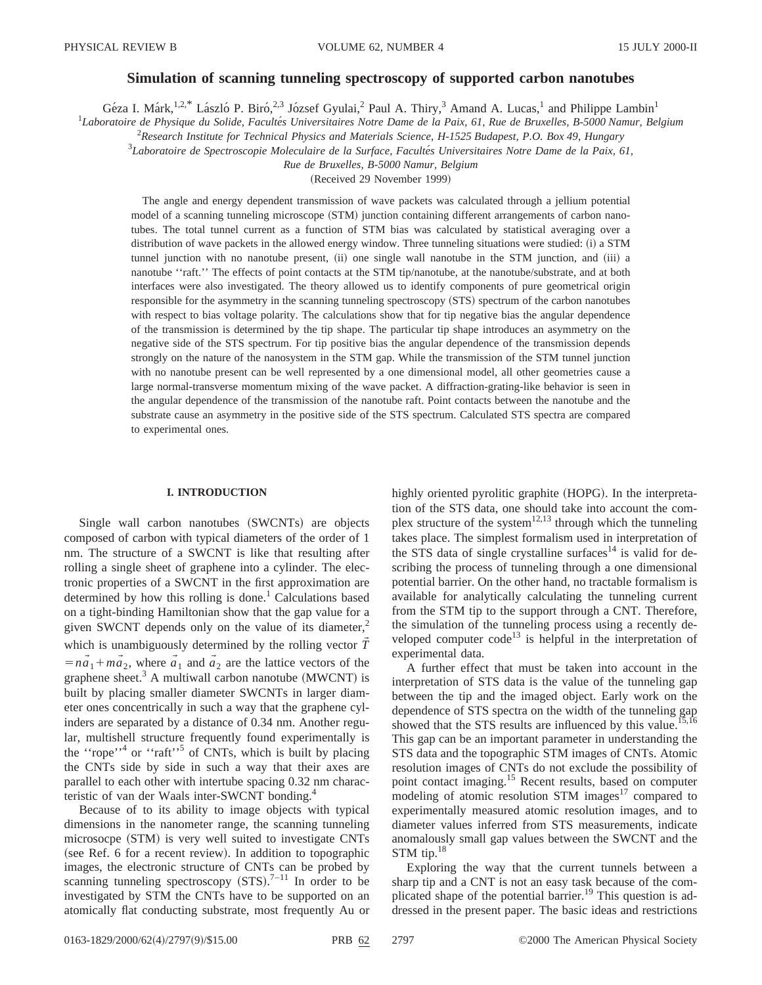# **Simulation of scanning tunneling spectroscopy of supported carbon nanotubes**

Géza I. Márk,<sup>1,2,\*</sup> László P. Biró,<sup>2,3</sup> József Gyulai,<sup>2</sup> Paul A. Thiry,<sup>3</sup> Amand A. Lucas,<sup>1</sup> and Philippe Lambin<sup>1</sup>

<sup>1</sup>Laboratoire de Physique du Solide, Facultés Universitaires Notre Dame de la Paix, 61, Rue de Bruxelles, B-5000 Namur, Belgium

2 *Research Institute for Technical Physics and Materials Science, H-1525 Budapest, P.O. Box 49, Hungary*

<sup>3</sup>Laboratoire de Spectroscopie Moleculaire de la Surface, Facultés Universitaires Notre Dame de la Paix, 61,

*Rue de Bruxelles, B-5000 Namur, Belgium*

(Received 29 November 1999)

The angle and energy dependent transmission of wave packets was calculated through a jellium potential model of a scanning tunneling microscope (STM) junction containing different arrangements of carbon nanotubes. The total tunnel current as a function of STM bias was calculated by statistical averaging over a distribution of wave packets in the allowed energy window. Three tunneling situations were studied: (i) a STM tunnel junction with no nanotube present, (ii) one single wall nanotube in the STM junction, and (iii) a nanotube ''raft.'' The effects of point contacts at the STM tip/nanotube, at the nanotube/substrate, and at both interfaces were also investigated. The theory allowed us to identify components of pure geometrical origin responsible for the asymmetry in the scanning tunneling spectroscopy (STS) spectrum of the carbon nanotubes with respect to bias voltage polarity. The calculations show that for tip negative bias the angular dependence of the transmission is determined by the tip shape. The particular tip shape introduces an asymmetry on the negative side of the STS spectrum. For tip positive bias the angular dependence of the transmission depends strongly on the nature of the nanosystem in the STM gap. While the transmission of the STM tunnel junction with no nanotube present can be well represented by a one dimensional model, all other geometries cause a large normal-transverse momentum mixing of the wave packet. A diffraction-grating-like behavior is seen in the angular dependence of the transmission of the nanotube raft. Point contacts between the nanotube and the substrate cause an asymmetry in the positive side of the STS spectrum. Calculated STS spectra are compared to experimental ones.

# **I. INTRODUCTION**

Single wall carbon nanotubes (SWCNTs) are objects composed of carbon with typical diameters of the order of 1 nm. The structure of a SWCNT is like that resulting after rolling a single sheet of graphene into a cylinder. The electronic properties of a SWCNT in the first approximation are determined by how this rolling is done.<sup>1</sup> Calculations based on a tight-binding Hamiltonian show that the gap value for a given SWCNT depends only on the value of its diameter, $2$ which is unambiguously determined by the rolling vector  $\hat{T}$  $\vec{a}_1 + \vec{ma}_2$ , where  $\vec{a}_1$  and  $\vec{a}_2$  are the lattice vectors of the graphene sheet.<sup>3</sup> A multiwall carbon nanotube  $(MWCNT)$  is built by placing smaller diameter SWCNTs in larger diameter ones concentrically in such a way that the graphene cylinders are separated by a distance of 0.34 nm. Another regular, multishell structure frequently found experimentally is the "rope"<sup>4</sup> or "raft"<sup>5</sup> of CNTs, which is built by placing the CNTs side by side in such a way that their axes are parallel to each other with intertube spacing 0.32 nm characteristic of van der Waals inter-SWCNT bonding.4

Because of to its ability to image objects with typical dimensions in the nanometer range, the scanning tunneling microsocpe (STM) is very well suited to investigate CNTs  $(see Ref. 6 for a recent review). In addition to topographic$ images, the electronic structure of CNTs can be probed by scanning tunneling spectroscopy  $(STS)$ .<sup>7-11</sup> In order to be investigated by STM the CNTs have to be supported on an atomically flat conducting substrate, most frequently Au or highly oriented pyrolitic graphite (HOPG). In the interpretation of the STS data, one should take into account the complex structure of the system<sup>12,13</sup> through which the tunneling takes place. The simplest formalism used in interpretation of the STS data of single crystalline surfaces<sup>14</sup> is valid for describing the process of tunneling through a one dimensional potential barrier. On the other hand, no tractable formalism is available for analytically calculating the tunneling current from the STM tip to the support through a CNT. Therefore, the simulation of the tunneling process using a recently developed computer  $code^{13}$  is helpful in the interpretation of experimental data.

A further effect that must be taken into account in the interpretation of STS data is the value of the tunneling gap between the tip and the imaged object. Early work on the dependence of STS spectra on the width of the tunneling gap showed that the STS results are influenced by this value.<sup>15,16</sup> This gap can be an important parameter in understanding the STS data and the topographic STM images of CNTs. Atomic resolution images of CNTs do not exclude the possibility of point contact imaging.15 Recent results, based on computer modeling of atomic resolution STM images<sup>17</sup> compared to experimentally measured atomic resolution images, and to diameter values inferred from STS measurements, indicate anomalously small gap values between the SWCNT and the STM tip.<sup>18</sup>

Exploring the way that the current tunnels between a sharp tip and a CNT is not an easy task because of the complicated shape of the potential barrier.<sup>19</sup> This question is addressed in the present paper. The basic ideas and restrictions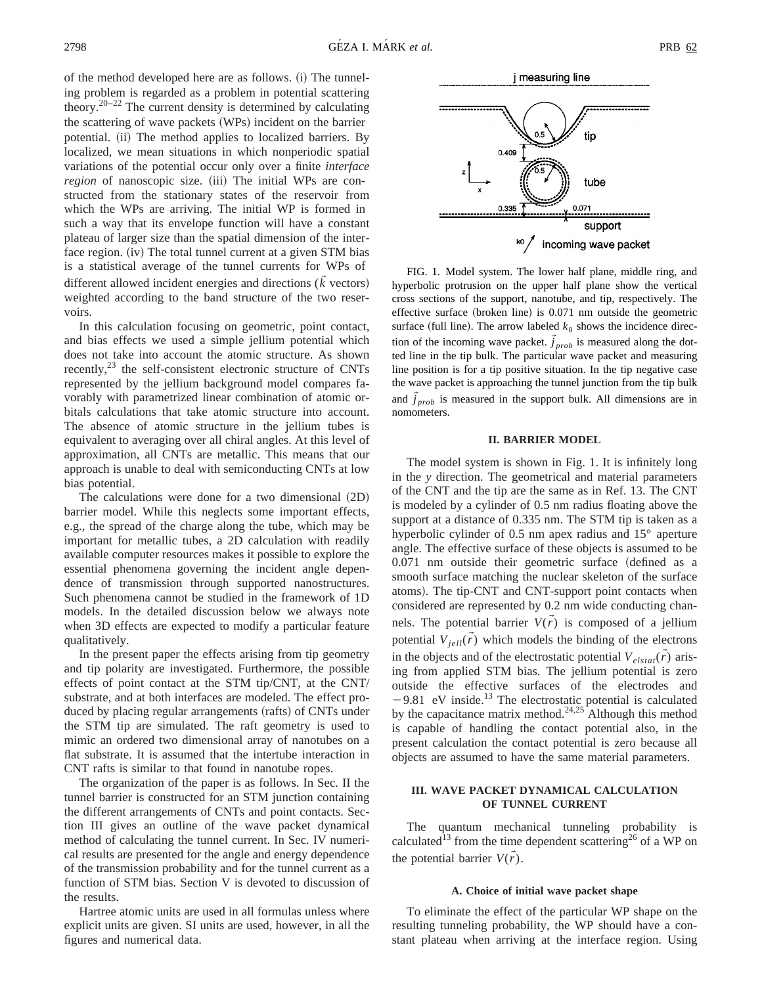of the method developed here are as follows. (i) The tunneling problem is regarded as a problem in potential scattering theory.<sup>20–22</sup> The current density is determined by calculating the scattering of wave packets (WPs) incident on the barrier potential. (ii) The method applies to localized barriers. By localized, we mean situations in which nonperiodic spatial variations of the potential occur only over a finite *interface region* of nanoscopic size. (iii) The initial WPs are constructed from the stationary states of the reservoir from which the WPs are arriving. The initial WP is formed in such a way that its envelope function will have a constant plateau of larger size than the spatial dimension of the interface region. (iv) The total tunnel current at a given STM bias is a statistical average of the tunnel currents for WPs of different allowed incident energies and directions ( $\vec{k}$  vectors) weighted according to the band structure of the two reservoirs.

In this calculation focusing on geometric, point contact, and bias effects we used a simple jellium potential which does not take into account the atomic structure. As shown recently,<sup>23</sup> the self-consistent electronic structure of CNTs represented by the jellium background model compares favorably with parametrized linear combination of atomic orbitals calculations that take atomic structure into account. The absence of atomic structure in the jellium tubes is equivalent to averaging over all chiral angles. At this level of approximation, all CNTs are metallic. This means that our approach is unable to deal with semiconducting CNTs at low bias potential.

The calculations were done for a two dimensional  $(2D)$ barrier model. While this neglects some important effects, e.g., the spread of the charge along the tube, which may be important for metallic tubes, a 2D calculation with readily available computer resources makes it possible to explore the essential phenomena governing the incident angle dependence of transmission through supported nanostructures. Such phenomena cannot be studied in the framework of 1D models. In the detailed discussion below we always note when 3D effects are expected to modify a particular feature qualitatively.

In the present paper the effects arising from tip geometry and tip polarity are investigated. Furthermore, the possible effects of point contact at the STM tip/CNT, at the CNT/ substrate, and at both interfaces are modeled. The effect produced by placing regular arrangements (rafts) of CNTs under the STM tip are simulated. The raft geometry is used to mimic an ordered two dimensional array of nanotubes on a flat substrate. It is assumed that the intertube interaction in CNT rafts is similar to that found in nanotube ropes.

The organization of the paper is as follows. In Sec. II the tunnel barrier is constructed for an STM junction containing the different arrangements of CNTs and point contacts. Section III gives an outline of the wave packet dynamical method of calculating the tunnel current. In Sec. IV numerical results are presented for the angle and energy dependence of the transmission probability and for the tunnel current as a function of STM bias. Section V is devoted to discussion of the results.

Hartree atomic units are used in all formulas unless where explicit units are given. SI units are used, however, in all the figures and numerical data.



FIG. 1. Model system. The lower half plane, middle ring, and hyperbolic protrusion on the upper half plane show the vertical cross sections of the support, nanotube, and tip, respectively. The effective surface (broken line) is  $0.071$  nm outside the geometric surface (full line). The arrow labeled  $k_0$  shows the incidence direction of the incoming wave packet.  $\vec{j}_{prob}$  is measured along the dotted line in the tip bulk. The particular wave packet and measuring line position is for a tip positive situation. In the tip negative case the wave packet is approaching the tunnel junction from the tip bulk and  $\vec{j}_{\text{prob}}$  is measured in the support bulk. All dimensions are in nomometers.

#### **II. BARRIER MODEL**

The model system is shown in Fig. 1. It is infinitely long in the *y* direction. The geometrical and material parameters of the CNT and the tip are the same as in Ref. 13. The CNT is modeled by a cylinder of 0.5 nm radius floating above the support at a distance of 0.335 nm. The STM tip is taken as a hyperbolic cylinder of 0.5 nm apex radius and 15° aperture angle. The effective surface of these objects is assumed to be  $0.071$  nm outside their geometric surface (defined as a smooth surface matching the nuclear skeleton of the surface atoms). The tip-CNT and CNT-support point contacts when considered are represented by 0.2 nm wide conducting channels. The potential barrier  $V(\vec{r})$  is composed of a jellium potential  $V_{jell}(\vec{r})$  which models the binding of the electrons in the objects and of the electrostatic potential  $V_{elstat}(\vec{r})$  arising from applied STM bias. The jellium potential is zero outside the effective surfaces of the electrodes and  $-9.81$  eV inside.<sup>13</sup> The electrostatic potential is calculated by the capacitance matrix method.<sup>24,25</sup> Although this method is capable of handling the contact potential also, in the present calculation the contact potential is zero because all objects are assumed to have the same material parameters.

# **III. WAVE PACKET DYNAMICAL CALCULATION OF TUNNEL CURRENT**

The quantum mechanical tunneling probability is calculated<sup>13</sup> from the time dependent scattering<sup>26</sup> of a WP on the potential barrier  $V(\vec{r})$ .

#### **A. Choice of initial wave packet shape**

To eliminate the effect of the particular WP shape on the resulting tunneling probability, the WP should have a constant plateau when arriving at the interface region. Using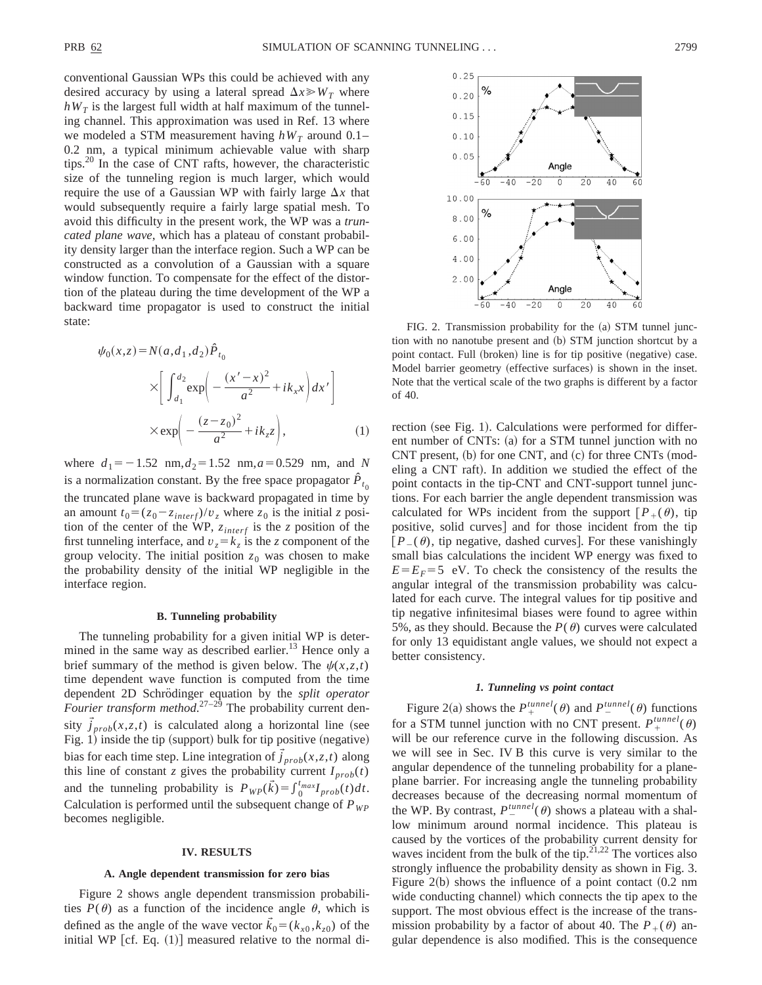conventional Gaussian WPs this could be achieved with any desired accuracy by using a lateral spread  $\Delta x \geqslant W_T$  where  $hW_T$  is the largest full width at half maximum of the tunneling channel. This approximation was used in Ref. 13 where we modeled a STM measurement having  $hW_T$  around 0.1– 0.2 nm, a typical minimum achievable value with sharp tips.<sup>20</sup> In the case of CNT rafts, however, the characteristic size of the tunneling region is much larger, which would require the use of a Gaussian WP with fairly large  $\Delta x$  that would subsequently require a fairly large spatial mesh. To avoid this difficulty in the present work, the WP was a *truncated plane wave*, which has a plateau of constant probability density larger than the interface region. Such a WP can be constructed as a convolution of a Gaussian with a square window function. To compensate for the effect of the distortion of the plateau during the time development of the WP a backward time propagator is used to construct the initial state:

$$
\psi_0(x,z) = N(a,d_1,d_2)\hat{P}_{t_0}
$$
\n
$$
\times \left[ \int_{d_1}^{d_2} \exp\left(-\frac{(x'-x)^2}{a^2} + ik_x x\right) dx'\right]
$$
\n
$$
\times \exp\left(-\frac{(z-z_0)^2}{a^2} + ik_z z\right),
$$
\n(1)

where  $d_1 = -1.52$  nm, $d_2 = 1.52$  nm, $a = 0.529$  nm, and *N* is a normalization constant. By the free space propagator  $\hat{P}_{t_0}$ the truncated plane wave is backward propagated in time by an amount  $t_0 = (z_0 - z_{interf})/v_z$  where  $z_0$  is the initial *z* position of the center of the WP, *zinterf* is the *z* position of the first tunneling interface, and  $v_z = k_z$  is the *z* component of the group velocity. The initial position  $z_0$  was chosen to make the probability density of the initial WP negligible in the interface region.

#### **B. Tunneling probability**

The tunneling probability for a given initial WP is determined in the same way as described earlier. $13$  Hence only a brief summary of the method is given below. The  $\psi(x, z, t)$ time dependent wave function is computed from the time dependent 2D Schrödinger equation by the *split operator* Fourier transform method.<sup>27-29</sup> The probability current density  $\vec{j}_{prob}(x, z, t)$  is calculated along a horizontal line (see Fig. 1) inside the tip (support) bulk for tip positive (negative) bias for each time step. Line integration of  $\vec{j}_{\text{prob}}(x, z, t)$  along this line of constant *z* gives the probability current  $I_{prob}(t)$ and the tunneling probability is  $P_{WP}(\vec{k}) = \int_0^{\tau_{max}} I_{prob}(t) dt$ . Calculation is performed until the subsequent change of  $P_{WP}$ becomes negligible.

#### **IV. RESULTS**

## **A. Angle dependent transmission for zero bias**

Figure 2 shows angle dependent transmission probabilities  $P(\theta)$  as a function of the incidence angle  $\theta$ , which is defined as the angle of the wave vector  $\vec{k}_0 = (k_{x0}, k_{z0})$  of the initial WP  $[cf. Eq. (1)]$  measured relative to the normal di-



FIG. 2. Transmission probability for the (a) STM tunnel junction with no nanotube present and (b) STM junction shortcut by a point contact. Full (broken) line is for tip positive (negative) case. Model barrier geometry (effective surfaces) is shown in the inset. Note that the vertical scale of the two graphs is different by a factor of 40.

rection (see Fig. 1). Calculations were performed for different number of CNTs:  $(a)$  for a STM tunnel junction with no  $CNT$  present,  $(b)$  for one CNT, and  $(c)$  for three CNTs (modeling a CNT raft). In addition we studied the effect of the point contacts in the tip-CNT and CNT-support tunnel junctions. For each barrier the angle dependent transmission was calculated for WPs incident from the support  $[P_+(\theta)]$ , tip positive, solid curves] and for those incident from the tip  $[P_-(\theta)]$ , tip negative, dashed curves. For these vanishingly small bias calculations the incident WP energy was fixed to  $E=E<sub>F</sub>=5$  eV. To check the consistency of the results the angular integral of the transmission probability was calculated for each curve. The integral values for tip positive and tip negative infinitesimal biases were found to agree within 5%, as they should. Because the  $P(\theta)$  curves were calculated for only 13 equidistant angle values, we should not expect a better consistency.

#### *1. Tunneling vs point contact*

Figure 2(a) shows the  $P_+^{tunnel}(\theta)$  and  $P_-^{tunnel}(\theta)$  functions for a STM tunnel junction with no CNT present.  $P_+^{tunnel}(\theta)$ will be our reference curve in the following discussion. As we will see in Sec. IV B this curve is very similar to the angular dependence of the tunneling probability for a planeplane barrier. For increasing angle the tunneling probability decreases because of the decreasing normal momentum of the WP. By contrast,  $P_{-}^{tunnel}(\theta)$  shows a plateau with a shallow minimum around normal incidence. This plateau is caused by the vortices of the probability current density for waves incident from the bulk of the tip.<sup>21,22</sup> The vortices also strongly influence the probability density as shown in Fig. 3. Figure  $2(b)$  shows the influence of a point contact  $(0.2 \text{ nm})$ wide conducting channel) which connects the tip apex to the support. The most obvious effect is the increase of the transmission probability by a factor of about 40. The  $P_+(\theta)$  angular dependence is also modified. This is the consequence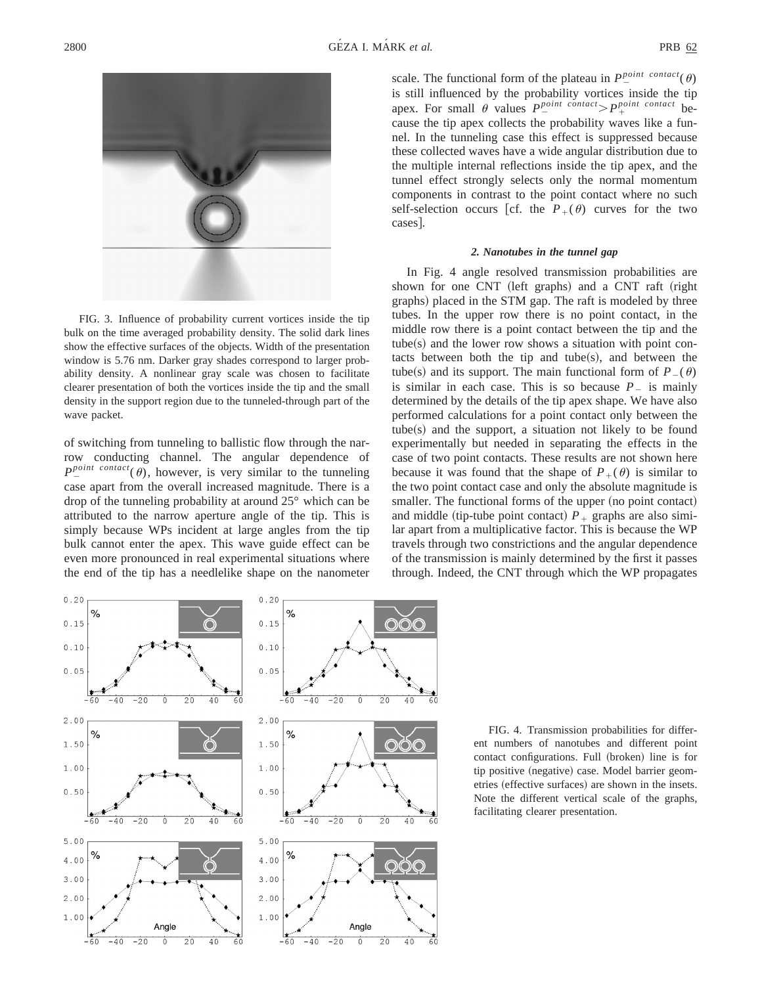

FIG. 3. Influence of probability current vortices inside the tip bulk on the time averaged probability density. The solid dark lines show the effective surfaces of the objects. Width of the presentation window is 5.76 nm. Darker gray shades correspond to larger probability density. A nonlinear gray scale was chosen to facilitate clearer presentation of both the vortices inside the tip and the small density in the support region due to the tunneled-through part of the wave packet.

of switching from tunneling to ballistic flow through the narrow conducting channel. The angular dependence of  $P_{-}^{point\ contact}(\theta)$ , however, is very similar to the tunneling case apart from the overall increased magnitude. There is a drop of the tunneling probability at around 25° which can be attributed to the narrow aperture angle of the tip. This is simply because WPs incident at large angles from the tip bulk cannot enter the apex. This wave guide effect can be even more pronounced in real experimental situations where the end of the tip has a needlelike shape on the nanometer

scale. The functional form of the plateau in  $P_{-}^{point\ contact}(\theta)$ is still influenced by the probability vortices inside the tip apex. For small  $\theta$  values  $P_{-}^{point\ contact} > P_{+}^{point\ contact}$  because the tip apex collects the probability waves like a funnel. In the tunneling case this effect is suppressed because these collected waves have a wide angular distribution due to the multiple internal reflections inside the tip apex, and the tunnel effect strongly selects only the normal momentum components in contrast to the point contact where no such self-selection occurs [cf. the  $P_+(\theta)$  curves for the two cases].

## *2. Nanotubes in the tunnel gap*

In Fig. 4 angle resolved transmission probabilities are shown for one CNT (left graphs) and a CNT raft (right graphs) placed in the STM gap. The raft is modeled by three tubes. In the upper row there is no point contact, in the middle row there is a point contact between the tip and the  $tube(s)$  and the lower row shows a situation with point contacts between both the tip and tube(s), and between the tube(s) and its support. The main functional form of  $P_-(\theta)$ is similar in each case. This is so because  $P_{-}$  is mainly determined by the details of the tip apex shape. We have also performed calculations for a point contact only between the  $tube(s)$  and the support, a situation not likely to be found experimentally but needed in separating the effects in the case of two point contacts. These results are not shown here because it was found that the shape of  $P_+(\theta)$  is similar to the two point contact case and only the absolute magnitude is smaller. The functional forms of the upper (no point contact) and middle (tip-tube point contact)  $P_+$  graphs are also similar apart from a multiplicative factor. This is because the WP travels through two constrictions and the angular dependence of the transmission is mainly determined by the first it passes through. Indeed, the CNT through which the WP propagates



FIG. 4. Transmission probabilities for different numbers of nanotubes and different point contact configurations. Full (broken) line is for tip positive (negative) case. Model barrier geometries (effective surfaces) are shown in the insets. Note the different vertical scale of the graphs, facilitating clearer presentation.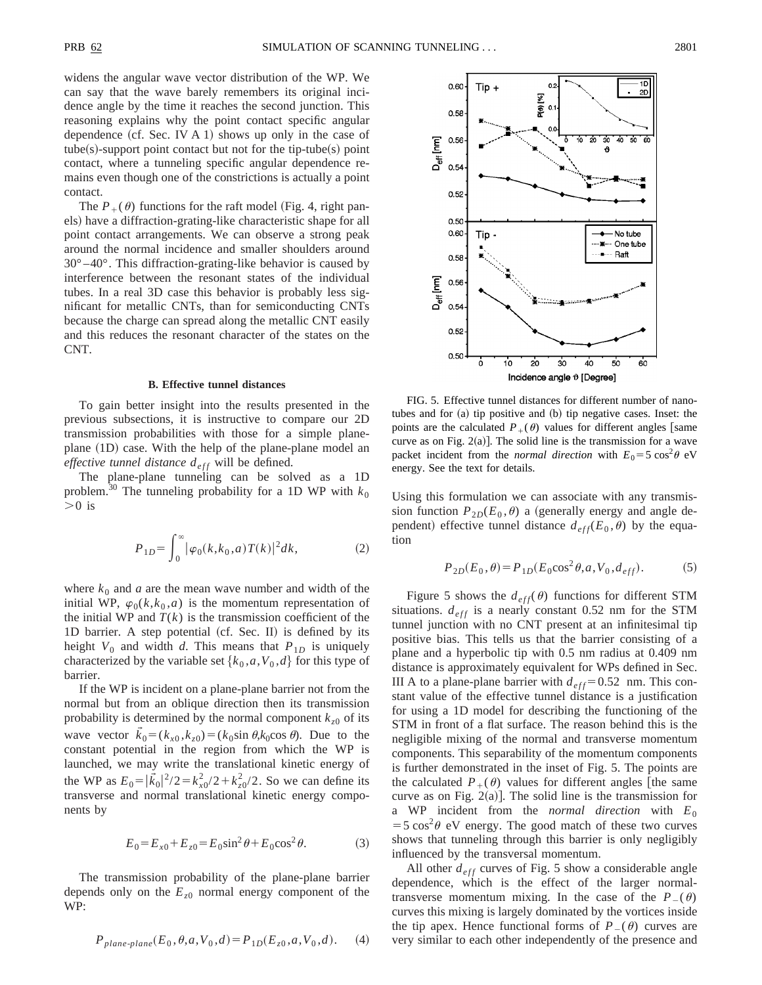widens the angular wave vector distribution of the WP. We can say that the wave barely remembers its original incidence angle by the time it reaches the second junction. This reasoning explains why the point contact specific angular dependence  $(cf. Sec. IV A 1)$  shows up only in the case of  $tube(s)$ -support point contact but not for the tip-tube(s) point contact, where a tunneling specific angular dependence remains even though one of the constrictions is actually a point contact.

The  $P_+(\theta)$  functions for the raft model (Fig. 4, right panels) have a diffraction-grating-like characteristic shape for all point contact arrangements. We can observe a strong peak around the normal incidence and smaller shoulders around  $30^{\circ} - 40^{\circ}$ . This diffraction-grating-like behavior is caused by interference between the resonant states of the individual tubes. In a real 3D case this behavior is probably less significant for metallic CNTs, than for semiconducting CNTs because the charge can spread along the metallic CNT easily and this reduces the resonant character of the states on the CNT.

## **B. Effective tunnel distances**

To gain better insight into the results presented in the previous subsections, it is instructive to compare our 2D transmission probabilities with those for a simple planeplane  $(1D)$  case. With the help of the plane-plane model an *effective tunnel distance d<sub>eff</sub>* will be defined.

The plane-plane tunneling can be solved as a 1D problem.<sup>30</sup> The tunneling probability for a 1D WP with  $k_0$  $>0$  is

$$
P_{1D} = \int_0^\infty |\varphi_0(k, k_0, a) T(k)|^2 dk, \tag{2}
$$

where  $k_0$  and  $a$  are the mean wave number and width of the initial WP,  $\varphi_0(k, k_0, a)$  is the momentum representation of the initial WP and  $T(k)$  is the transmission coefficient of the 1D barrier. A step potential (cf. Sec. II) is defined by its height  $V_0$  and width *d*. This means that  $P_{1D}$  is uniquely characterized by the variable set  $\{k_0, a, V_0, d\}$  for this type of barrier.

If the WP is incident on a plane-plane barrier not from the normal but from an oblique direction then its transmission probability is determined by the normal component  $k_{z0}$  of its wave vector  $k_0 = (k_{x0}, k_{z0}) = (k_0 \sin \theta, k_0 \cos \theta)$ . Due to the constant potential in the region from which the WP is launched, we may write the translational kinetic energy of the WP as  $E_0 = |\vec{k}_0|^2/2 = k_{x0}^2/2 + k_{z0}^2/2$ . So we can define its transverse and normal translational kinetic energy components by

$$
E_0 = E_{x0} + E_{z0} = E_0 \sin^2 \theta + E_0 \cos^2 \theta.
$$
 (3)

The transmission probability of the plane-plane barrier depends only on the  $E_{z0}$  normal energy component of the WP:

$$
P_{plane-plane}(E_0, \theta, a, V_0, d) = P_{1D}(E_{z0}, a, V_0, d). \tag{4}
$$



FIG. 5. Effective tunnel distances for different number of nanotubes and for  $(a)$  tip positive and  $(b)$  tip negative cases. Inset: the points are the calculated  $P_+(\theta)$  values for different angles [same curve as on Fig. 2(a)]. The solid line is the transmission for a wave packet incident from the *normal direction* with  $E_0 = 5 \cos^2 \theta$  eV energy. See the text for details.

Using this formulation we can associate with any transmission function  $P_{2D}(E_0, \theta)$  a (generally energy and angle dependent) effective tunnel distance  $d_{eff}(E_0, \theta)$  by the equation

$$
P_{2D}(E_0, \theta) = P_{1D}(E_0 \cos^2 \theta, a, V_0, d_{eff}).
$$
 (5)

Figure 5 shows the  $d_{eff}(\theta)$  functions for different STM situations.  $d_{eff}$  is a nearly constant 0.52 nm for the STM tunnel junction with no CNT present at an infinitesimal tip positive bias. This tells us that the barrier consisting of a plane and a hyperbolic tip with 0.5 nm radius at 0.409 nm distance is approximately equivalent for WPs defined in Sec. III A to a plane-plane barrier with  $d_{eff}$ =0.52 nm. This constant value of the effective tunnel distance is a justification for using a 1D model for describing the functioning of the STM in front of a flat surface. The reason behind this is the negligible mixing of the normal and transverse momentum components. This separability of the momentum components is further demonstrated in the inset of Fig. 5. The points are the calculated  $P_+(\theta)$  values for different angles [the same curve as on Fig.  $2(a)$ ]. The solid line is the transmission for a WP incident from the *normal direction* with  $E_0$  $=$  5 cos<sup>2</sup> $\theta$  eV energy. The good match of these two curves shows that tunneling through this barrier is only negligibly influenced by the transversal momentum.

All other *deff* curves of Fig. 5 show a considerable angle dependence, which is the effect of the larger normaltransverse momentum mixing. In the case of the  $P_-(\theta)$ curves this mixing is largely dominated by the vortices inside the tip apex. Hence functional forms of  $P_-(\theta)$  curves are very similar to each other independently of the presence and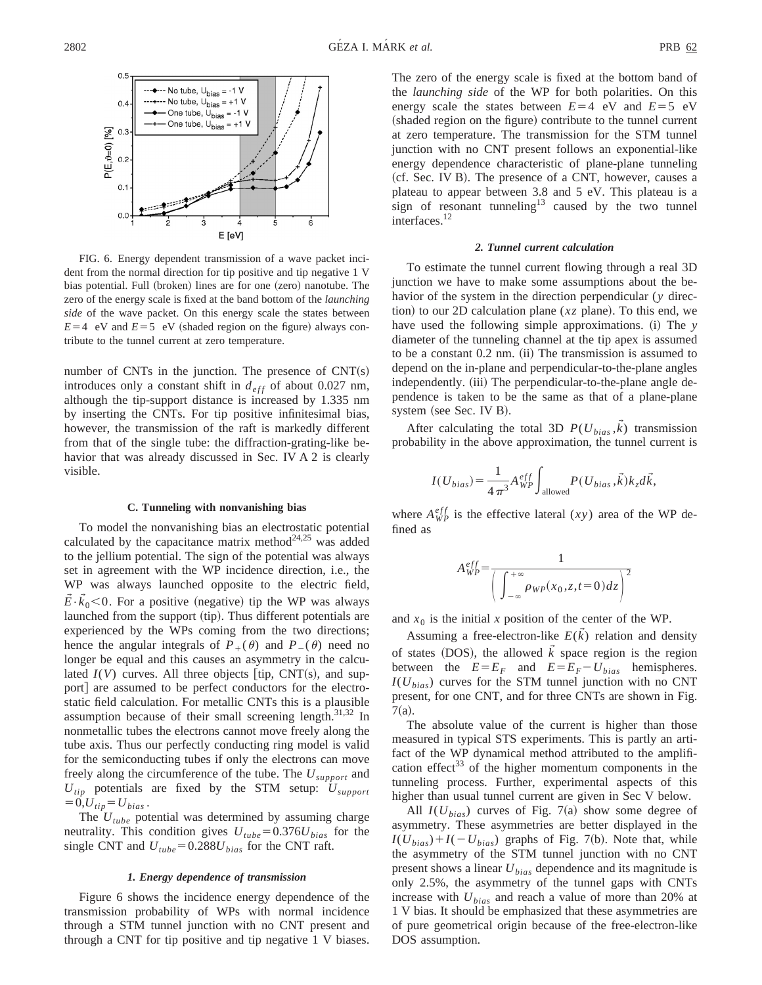

FIG. 6. Energy dependent transmission of a wave packet incident from the normal direction for tip positive and tip negative 1 V bias potential. Full (broken) lines are for one (zero) nanotube. The zero of the energy scale is fixed at the band bottom of the *launching side* of the wave packet. On this energy scale the states between  $E=4$  eV and  $E=5$  eV (shaded region on the figure) always contribute to the tunnel current at zero temperature.

number of CNTs in the junction. The presence of  $CNT(s)$ introduces only a constant shift in  $d_{eff}$  of about 0.027 nm, although the tip-support distance is increased by 1.335 nm by inserting the CNTs. For tip positive infinitesimal bias, however, the transmission of the raft is markedly different from that of the single tube: the diffraction-grating-like behavior that was already discussed in Sec. IV A 2 is clearly visible.

## **C. Tunneling with nonvanishing bias**

To model the nonvanishing bias an electrostatic potential calculated by the capacitance matrix method $^{24,25}$  was added to the jellium potential. The sign of the potential was always set in agreement with the WP incidence direction, i.e., the WP was always launched opposite to the electric field,  $E \cdot k_0$  < 0. For a positive (negative) tip the WP was always launched from the support (tip). Thus different potentials are experienced by the WPs coming from the two directions; hence the angular integrals of  $P_+(\theta)$  and  $P_-(\theta)$  need no longer be equal and this causes an asymmetry in the calculated  $I(V)$  curves. All three objects [tip, CNT(s), and support] are assumed to be perfect conductors for the electrostatic field calculation. For metallic CNTs this is a plausible assumption because of their small screening length.<sup>31,32</sup> In nonmetallic tubes the electrons cannot move freely along the tube axis. Thus our perfectly conducting ring model is valid for the semiconducting tubes if only the electrons can move freely along the circumference of the tube. The *Usupport* and  $U_{tip}$  potentials are fixed by the STM setup:  $U_{support}$  $=0, U_{tip} = U_{bias}$ .

The  $U_{tube}$  potential was determined by assuming charge neutrality. This condition gives  $U_{tube} = 0.376 U_{bias}$  for the single CNT and  $U_{tube} = 0.288 U_{bias}$  for the CNT raft.

# *1. Energy dependence of transmission*

Figure 6 shows the incidence energy dependence of the transmission probability of WPs with normal incidence through a STM tunnel junction with no CNT present and through a CNT for tip positive and tip negative 1 V biases. The zero of the energy scale is fixed at the bottom band of the *launching side* of the WP for both polarities. On this energy scale the states between  $E=4$  eV and  $E=5$  eV (shaded region on the figure) contribute to the tunnel current at zero temperature. The transmission for the STM tunnel junction with no CNT present follows an exponential-like energy dependence characteristic of plane-plane tunneling (cf. Sec. IV B). The presence of a CNT, however, causes a plateau to appear between 3.8 and 5 eV. This plateau is a sign of resonant tunneling<sup>13</sup> caused by the two tunnel interfaces.<sup>12</sup>

#### *2. Tunnel current calculation*

To estimate the tunnel current flowing through a real 3D junction we have to make some assumptions about the behavior of the system in the direction perpendicular (*y* direction) to our 2D calculation plane  $(xz)$  plane). To this end, we have used the following simple approximations. (i) The *y* diameter of the tunneling channel at the tip apex is assumed to be a constant  $0.2$  nm.  $(ii)$  The transmission is assumed to depend on the in-plane and perpendicular-to-the-plane angles independently. (iii) The perpendicular-to-the-plane angle dependence is taken to be the same as that of a plane-plane system (see Sec. IV  $B$ ).

After calculating the total 3D  $P(U_{bias}, \tilde{k})$  transmission probability in the above approximation, the tunnel current is

$$
I(U_{bias}) = \frac{1}{4\pi^3} A_{WP}^{eff} \int_{\text{allowed}} P(U_{bias}, \vec{k}) k_z d\vec{k},
$$

where  $A_{WP}^{eff}$  is the effective lateral  $(xy)$  area of the WP defined as

$$
A_{WP}^{eff} = \frac{1}{\left(\int_{-\infty}^{+\infty} \rho_{WP}(x_0, z, t=0) dz\right)^2}
$$

and  $x_0$  is the initial x position of the center of the WP.

Assuming a free-electron-like  $E(\vec{k})$  relation and density of states (DOS), the allowed  $\vec{k}$  space region is the region between the  $E = E_F$  and  $E = E_F - U_{bias}$  hemispheres. *I*(*Ubias*) curves for the STM tunnel junction with no CNT present, for one CNT, and for three CNTs are shown in Fig.  $7(a).$ 

The absolute value of the current is higher than those measured in typical STS experiments. This is partly an artifact of the WP dynamical method attributed to the amplification effect<sup>33</sup> of the higher momentum components in the tunneling process. Further, experimental aspects of this higher than usual tunnel current are given in Sec V below.

All  $I(U_{bias})$  curves of Fig. 7(a) show some degree of asymmetry. These asymmetries are better displayed in the  $I(U_{bias})+I(-U_{bias})$  graphs of Fig. 7(b). Note that, while the asymmetry of the STM tunnel junction with no CNT present shows a linear *Ubias* dependence and its magnitude is only 2.5%, the asymmetry of the tunnel gaps with CNTs increase with  $U_{bias}$  and reach a value of more than 20% at 1 V bias. It should be emphasized that these asymmetries are of pure geometrical origin because of the free-electron-like DOS assumption.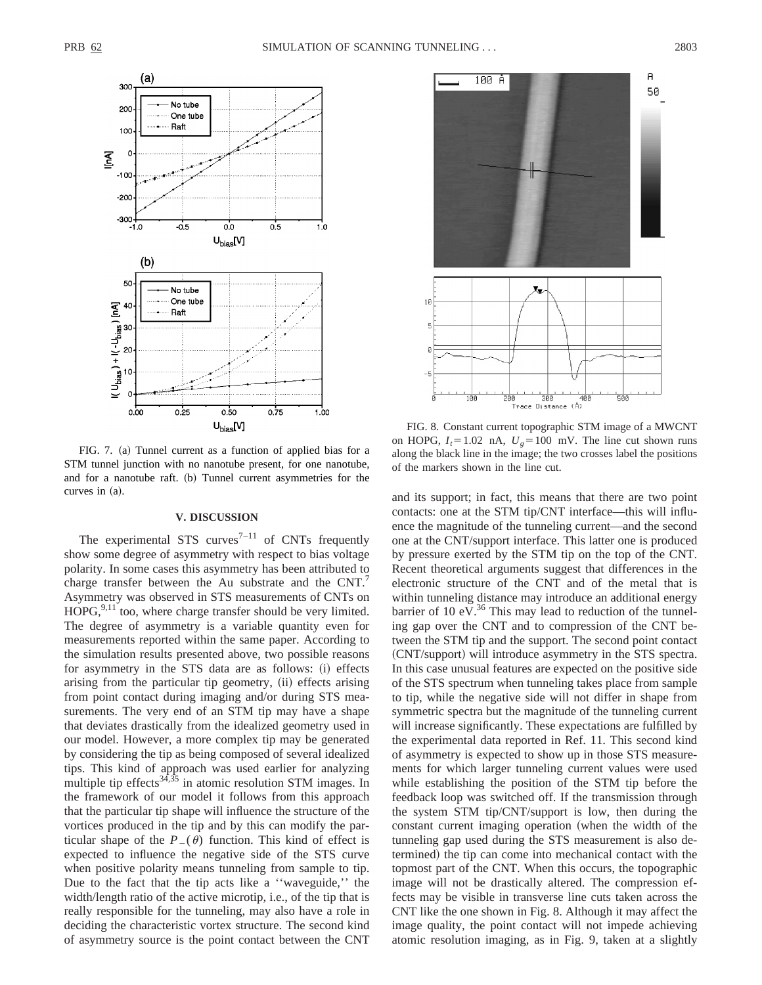

FIG. 7. (a) Tunnel current as a function of applied bias for a STM tunnel junction with no nanotube present, for one nanotube, and for a nanotube raft. (b) Tunnel current asymmetries for the curves in  $(a)$ .

#### **V. DISCUSSION**

The experimental STS curves<sup> $7-11$ </sup> of CNTs frequently show some degree of asymmetry with respect to bias voltage polarity. In some cases this asymmetry has been attributed to charge transfer between the Au substrate and the  $CNT.^{7}$ Asymmetry was observed in STS measurements of CNTs on  $HOPG<sub>1</sub><sup>9,11</sup>$  too, where charge transfer should be very limited. The degree of asymmetry is a variable quantity even for measurements reported within the same paper. According to the simulation results presented above, two possible reasons for asymmetry in the STS data are as follows: (i) effects arising from the particular tip geometry, (ii) effects arising from point contact during imaging and/or during STS measurements. The very end of an STM tip may have a shape that deviates drastically from the idealized geometry used in our model. However, a more complex tip may be generated by considering the tip as being composed of several idealized tips. This kind of approach was used earlier for analyzing multiple tip effects $34,35$  in atomic resolution STM images. In the framework of our model it follows from this approach that the particular tip shape will influence the structure of the vortices produced in the tip and by this can modify the particular shape of the  $P_-(\theta)$  function. This kind of effect is expected to influence the negative side of the STS curve when positive polarity means tunneling from sample to tip. Due to the fact that the tip acts like a ''waveguide,'' the width/length ratio of the active microtip, i.e., of the tip that is really responsible for the tunneling, may also have a role in deciding the characteristic vortex structure. The second kind of asymmetry source is the point contact between the CNT



FIG. 8. Constant current topographic STM image of a MWCNT on HOPG,  $I_t$ = 1.02 nA,  $U_g$ = 100 mV. The line cut shown runs along the black line in the image; the two crosses label the positions of the markers shown in the line cut.

and its support; in fact, this means that there are two point contacts: one at the STM tip/CNT interface—this will influence the magnitude of the tunneling current—and the second one at the CNT/support interface. This latter one is produced by pressure exerted by the STM tip on the top of the CNT. Recent theoretical arguments suggest that differences in the electronic structure of the CNT and of the metal that is within tunneling distance may introduce an additional energy barrier of 10 eV. $36$  This may lead to reduction of the tunneling gap over the CNT and to compression of the CNT between the STM tip and the support. The second point contact ~CNT/support! will introduce asymmetry in the STS spectra. In this case unusual features are expected on the positive side of the STS spectrum when tunneling takes place from sample to tip, while the negative side will not differ in shape from symmetric spectra but the magnitude of the tunneling current will increase significantly. These expectations are fulfilled by the experimental data reported in Ref. 11. This second kind of asymmetry is expected to show up in those STS measurements for which larger tunneling current values were used while establishing the position of the STM tip before the feedback loop was switched off. If the transmission through the system STM tip/CNT/support is low, then during the constant current imaging operation (when the width of the tunneling gap used during the STS measurement is also determined) the tip can come into mechanical contact with the topmost part of the CNT. When this occurs, the topographic image will not be drastically altered. The compression effects may be visible in transverse line cuts taken across the CNT like the one shown in Fig. 8. Although it may affect the image quality, the point contact will not impede achieving atomic resolution imaging, as in Fig. 9, taken at a slightly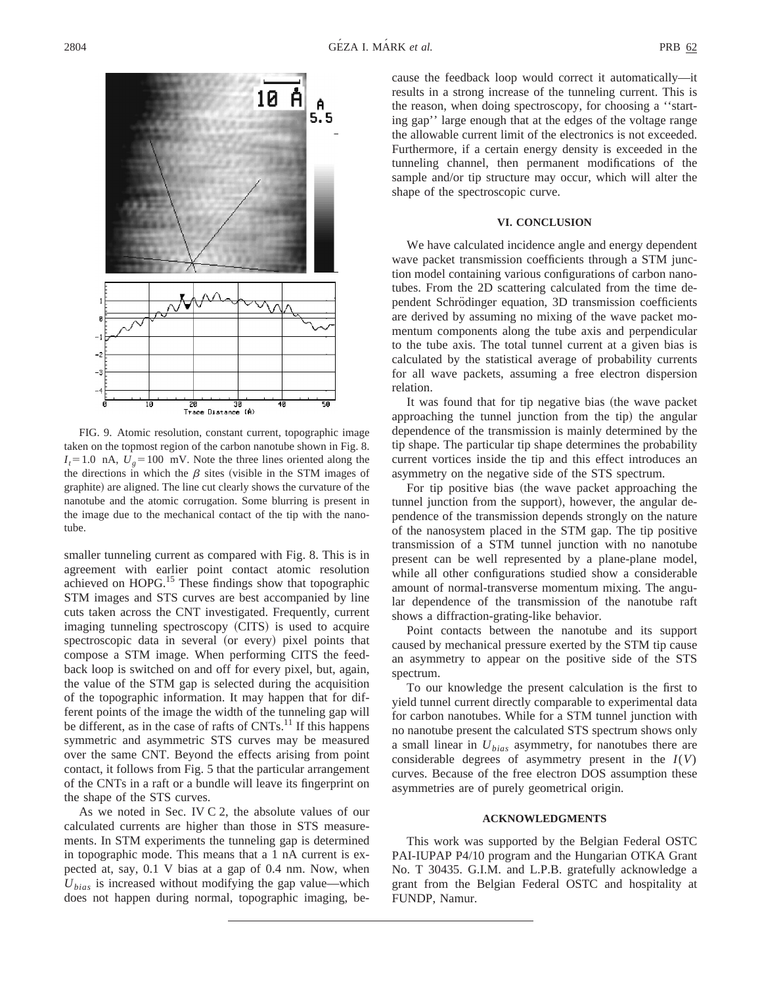

FIG. 9. Atomic resolution, constant current, topographic image taken on the topmost region of the carbon nanotube shown in Fig. 8.  $I_t$ =1.0 nA,  $U_\varphi$ =100 mV. Note the three lines oriented along the the directions in which the  $\beta$  sites (visible in the STM images of graphite) are aligned. The line cut clearly shows the curvature of the nanotube and the atomic corrugation. Some blurring is present in the image due to the mechanical contact of the tip with the nanotube.

smaller tunneling current as compared with Fig. 8. This is in agreement with earlier point contact atomic resolution achieved on HOPG.15 These findings show that topographic STM images and STS curves are best accompanied by line cuts taken across the CNT investigated. Frequently, current imaging tunneling spectroscopy (CITS) is used to acquire spectroscopic data in several (or every) pixel points that compose a STM image. When performing CITS the feedback loop is switched on and off for every pixel, but, again, the value of the STM gap is selected during the acquisition of the topographic information. It may happen that for different points of the image the width of the tunneling gap will be different, as in the case of rafts of CNTs.<sup>11</sup> If this happens symmetric and asymmetric STS curves may be measured over the same CNT. Beyond the effects arising from point contact, it follows from Fig. 5 that the particular arrangement of the CNTs in a raft or a bundle will leave its fingerprint on the shape of the STS curves.

As we noted in Sec. IV C 2, the absolute values of our calculated currents are higher than those in STS measurements. In STM experiments the tunneling gap is determined in topographic mode. This means that a 1 nA current is expected at, say, 0.1 V bias at a gap of 0.4 nm. Now, when  $U_{bias}$  is increased without modifying the gap value—which does not happen during normal, topographic imaging, because the feedback loop would correct it automatically—it results in a strong increase of the tunneling current. This is the reason, when doing spectroscopy, for choosing a ''starting gap'' large enough that at the edges of the voltage range the allowable current limit of the electronics is not exceeded. Furthermore, if a certain energy density is exceeded in the tunneling channel, then permanent modifications of the sample and/or tip structure may occur, which will alter the shape of the spectroscopic curve.

#### **VI. CONCLUSION**

We have calculated incidence angle and energy dependent wave packet transmission coefficients through a STM junction model containing various configurations of carbon nanotubes. From the 2D scattering calculated from the time dependent Schrödinger equation, 3D transmission coefficients are derived by assuming no mixing of the wave packet momentum components along the tube axis and perpendicular to the tube axis. The total tunnel current at a given bias is calculated by the statistical average of probability currents for all wave packets, assuming a free electron dispersion relation.

It was found that for tip negative bias (the wave packet approaching the tunnel junction from the tip) the angular dependence of the transmission is mainly determined by the tip shape. The particular tip shape determines the probability current vortices inside the tip and this effect introduces an asymmetry on the negative side of the STS spectrum.

For tip positive bias (the wave packet approaching the tunnel junction from the support), however, the angular dependence of the transmission depends strongly on the nature of the nanosystem placed in the STM gap. The tip positive transmission of a STM tunnel junction with no nanotube present can be well represented by a plane-plane model, while all other configurations studied show a considerable amount of normal-transverse momentum mixing. The angular dependence of the transmission of the nanotube raft shows a diffraction-grating-like behavior.

Point contacts between the nanotube and its support caused by mechanical pressure exerted by the STM tip cause an asymmetry to appear on the positive side of the STS spectrum.

To our knowledge the present calculation is the first to yield tunnel current directly comparable to experimental data for carbon nanotubes. While for a STM tunnel junction with no nanotube present the calculated STS spectrum shows only a small linear in *Ubias* asymmetry, for nanotubes there are considerable degrees of asymmetry present in the *I*(*V*) curves. Because of the free electron DOS assumption these asymmetries are of purely geometrical origin.

# **ACKNOWLEDGMENTS**

This work was supported by the Belgian Federal OSTC PAI-IUPAP P4/10 program and the Hungarian OTKA Grant No. T 30435. G.I.M. and L.P.B. gratefully acknowledge a grant from the Belgian Federal OSTC and hospitality at FUNDP, Namur.